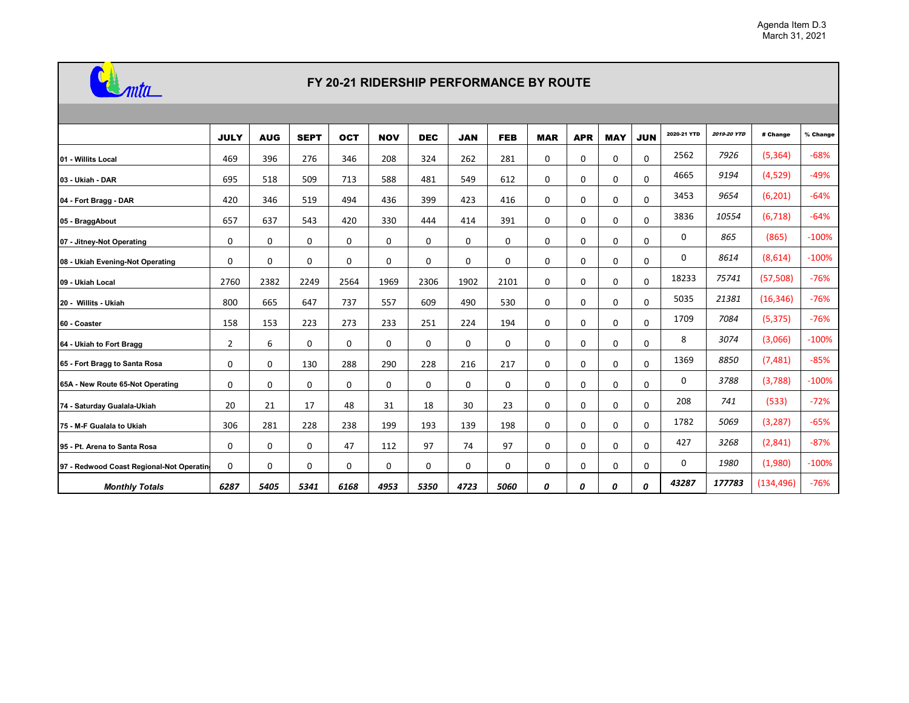

## **FY 20-21 RIDERSHIP PERFORMANCE BY ROUTE**

|                                           | <b>JULY</b>    | <b>AUG</b> | <b>SEPT</b> | <b>OCT</b>  | <b>NOV</b>  | <b>DEC</b>  | <b>JAN</b>  | <b>FEB</b> | <b>MAR</b> | <b>APR</b>  | <b>MAY</b> | <b>JUN</b> | 2020-21 YTD | <b>2019-20 YTD</b> | # Change   | % Change |
|-------------------------------------------|----------------|------------|-------------|-------------|-------------|-------------|-------------|------------|------------|-------------|------------|------------|-------------|--------------------|------------|----------|
| 01 - Willits Local                        | 469            | 396        | 276         | 346         | 208         | 324         | 262         | 281        | 0          | 0           | 0          | 0          | 2562        | 7926               | (5, 364)   | $-68%$   |
| 03 - Ukiah - DAR                          | 695            | 518        | 509         | 713         | 588         | 481         | 549         | 612        | 0          | 0           | 0          | 0          | 4665        | 9194               | (4,529)    | $-49%$   |
| 04 - Fort Bragg - DAR                     | 420            | 346        | 519         | 494         | 436         | 399         | 423         | 416        | 0          | 0           | 0          | 0          | 3453        | 9654               | (6, 201)   | $-64%$   |
| 05 - BraggAbout                           | 657            | 637        | 543         | 420         | 330         | 444         | 414         | 391        | 0          | 0           | 0          | 0          | 3836        | 10554              | (6, 718)   | $-64%$   |
| 07 - Jitney-Not Operating                 | 0              | 0          | 0           | 0           | 0           | 0           | 0           | 0          | 0          | 0           | 0          | 0          | 0           | 865                | (865)      | $-100%$  |
| 08 - Ukiah Evening-Not Operating          | 0              | 0          | 0           | 0           | 0           | 0           | 0           | 0          | 0          | 0           | 0          | 0          | 0           | 8614               | (8,614)    | $-100%$  |
| 09 - Ukiah Local                          | 2760           | 2382       | 2249        | 2564        | 1969        | 2306        | 1902        | 2101       | 0          | 0           | 0          | 0          | 18233       | 75741              | (57, 508)  | $-76%$   |
| 20 - Willits - Ukiah                      | 800            | 665        | 647         | 737         | 557         | 609         | 490         | 530        | 0          | 0           | 0          | 0          | 5035        | 21381              | (16, 346)  | $-76%$   |
| 60 - Coaster                              | 158            | 153        | 223         | 273         | 233         | 251         | 224         | 194        | 0          | 0           | 0          | 0          | 1709        | 7084               | (5, 375)   | $-76%$   |
| 64 - Ukiah to Fort Bragg                  | $\overline{2}$ | 6          | 0           | 0           | $\mathbf 0$ | $\mathbf 0$ | $\mathbf 0$ | 0          | 0          | $\mathbf 0$ | 0          | 0          | 8           | 3074               | (3,066)    | $-100%$  |
| 65 - Fort Bragg to Santa Rosa             | 0              | 0          | 130         | 288         | 290         | 228         | 216         | 217        | 0          | 0           | 0          | 0          | 1369        | 8850               | (7, 481)   | $-85%$   |
| 65A - New Route 65-Not Operating          | 0              | 0          | 0           | 0           | $\mathbf 0$ | $\mathbf 0$ | $\mathbf 0$ | 0          | 0          | $\mathbf 0$ | 0          | 0          | 0           | 3788               | (3,788)    | $-100%$  |
| 74 - Saturday Gualala-Ukiah               | 20             | 21         | 17          | 48          | 31          | 18          | 30          | 23         | 0          | 0           | 0          | 0          | 208         | 741                | (533)      | $-72%$   |
| 75 - M-F Gualala to Ukiah                 | 306            | 281        | 228         | 238         | 199         | 193         | 139         | 198        | 0          | $\mathbf 0$ | 0          | 0          | 1782        | 5069               | (3, 287)   | $-65%$   |
| 95 - Pt. Arena to Santa Rosa              | 0              | 0          | 0           | 47          | 112         | 97          | 74          | 97         | 0          | 0           | 0          | 0          | 427         | 3268               | (2,841)    | $-87%$   |
| 97 - Redwood Coast Regional-Not Operating | $\mathbf 0$    | 0          | 0           | $\mathbf 0$ | $\Omega$    | $\mathbf 0$ | $\mathbf 0$ | 0          | 0          | $\mathbf 0$ | 0          | 0          | 0           | 1980               | (1,980)    | $-100%$  |
| <b>Monthly Totals</b>                     | 6287           | 5405       | 5341        | 6168        | 4953        | 5350        | 4723        | 5060       | 0          | 0           | 0          | 0          | 43287       | 177783             | (134, 496) | $-76%$   |